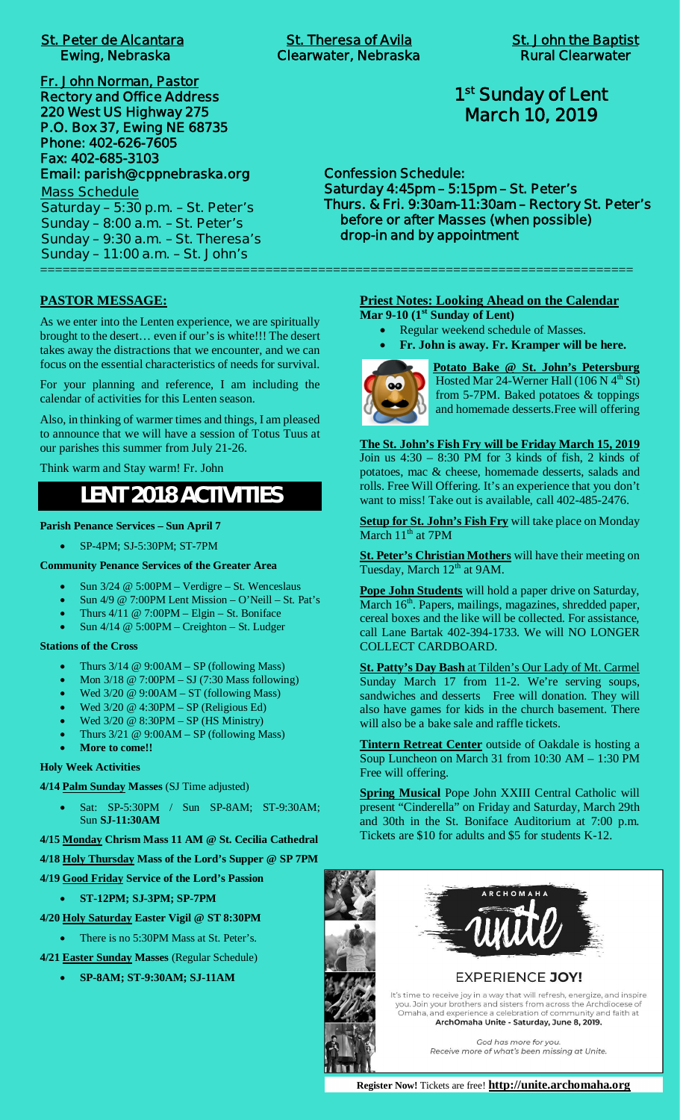| <b>St. Peter de Alcantara</b> |  |  |
|-------------------------------|--|--|
| <b>Ewing, Nebraska</b>        |  |  |

**Fr. John Norman, Pastor Rectory and Office Address 220 West US Highway 275 P.O. Box 37, Ewing NE 68735 Phone: 402-626-7605 Fax: 402-685-3103 Email: parish@cppnebraska.org**

**Mass Schedule Saturday – 5:30 p.m. – St. Peter's Sunday – 8:00 a.m. – St. Peter's Sunday – 9:30 a.m. – St. Theresa's Sunday – 11:00 a.m. – St. John's** ===============================================================================

# **1 st Sunday of Lent March 10, 2019**

**Confession Schedule: Saturday 4:45pm – 5:15pm – St. Peter's Thurs. & Fri. 9:30am-11:30am – Rectory St. Peter's before or after Masses (when possible) drop-in and by appointment**

### **PASTOR MESSAGE:**

As we enter into the Lenten experience, we are spiritually brought to the desert… even if our's is white!!! The desert takes away the distractions that we encounter, and we can focus on the essential characteristics of needs for survival.

For your planning and reference, I am including the calendar of activities for this Lenten season.

Also, in thinking of warmer times and things, I am pleased to announce that we will have a session of Totus Tuus at our parishes this summer from July 21-26.

Think warm and Stay warm! Fr. John

# **LENT 2018 ACTIVITIES**

**Parish Penance Services – Sun April 7**

· SP-4PM; SJ-5:30PM; ST-7PM

**Community Penance Services of the Greater Area**

- Sun 3/24 @ 5:00PM Verdigre St. Wenceslaus
- Sun 4/9 @ 7:00PM Lent Mission O'Neill St. Pat's
- Thurs  $4/11 \ @$  7:00PM Elgin St. Boniface
- Sun 4/14 @ 5:00PM Creighton St. Ludger

#### **Stations of the Cross**

- Thurs  $3/14 \ @ 9:00AM SP$  (following Mass)
- · Mon 3/18 @ 7:00PM SJ (7:30 Mass following)
- Wed  $3/20 \ @ 9:00AM ST$  (following Mass)
- Wed  $3/20 \ @$  4:30PM SP (Religious Ed)
- Wed  $3/20 \ @$   $8:30PM SP$  (HS Ministry)
- Thurs  $3/21 \ @ 9:00AM SP$  (following Mass)
- More to come!!

## **Holy Week Activities**

**4/14 Palm Sunday Masses** (SJ Time adjusted)

- · Sat: SP-5:30PM / Sun SP-8AM; ST-9:30AM; Sun **SJ-11:30AM**
- **4/15 Monday Chrism Mass 11 AM @ St. Cecilia Cathedral**
- **4/18 Holy Thursday Mass of the Lord's Supper @ SP 7PM**
- **4/19 Good Friday Service of the Lord's Passion**
	- · **ST-12PM; SJ-3PM; SP-7PM**
- **4/20 Holy Saturday Easter Vigil @ ST 8:30PM**
	- There is no 5:30PM Mass at St. Peter's.
- **4/21 Easter Sunday Masses** (Regular Schedule)
	- · **SP-8AM; ST-9:30AM; SJ-11AM**

## **Priest Notes: Looking Ahead on the Calendar**

**Mar 9-10 (1st Sunday of Lent)**

- Regular weekend schedule of Masses.
- · **Fr. John is away. Fr. Kramper will be here.**



**Potato Bake @ St. John's Petersburg** Hosted Mar 24-Werner Hall (106 N  $4<sup>th</sup>$  St) from 5-7PM. Baked potatoes & toppings and homemade desserts.Free will offering

**The St. John's Fish Fry will be Friday March 15, 2019** Join us 4:30 – 8:30 PM for 3 kinds of fish, 2 kinds of potatoes, mac & cheese, homemade desserts, salads and rolls. Free Will Offering. It's an experience that you don't want to miss! Take out is available, call 402-485-2476.

**Setup for St. John's Fish Fry** will take place on Monday March 11<sup>th</sup> at 7PM

**St. Peter's Christian Mothers** will have their meeting on Tuesday, March 12<sup>th</sup> at 9AM.

**Pope John Students** will hold a paper drive on Saturday, March 16<sup>th</sup>. Papers, mailings, magazines, shredded paper, cereal boxes and the like will be collected. For assistance, call Lane Bartak 402-394-1733. We will NO LONGER COLLECT CARDBOARD.

**St. Patty's Day Bash** at Tilden's Our Lady of Mt. Carmel Sunday March 17 from 11-2. We're serving soups, sandwiches and desserts Free will donation. They will also have games for kids in the church basement. There will also be a bake sale and raffle tickets.

**Tintern Retreat Center** outside of Oakdale is hosting a Soup Luncheon on March 31 from 10:30 AM – 1:30 PM Free will offering.

**Spring Musical** Pope John XXIII Central Catholic will present "Cinderella" on Friday and Saturday, March 29th and 30th in the St. Boniface Auditorium at 7:00 p.m. Tickets are \$10 for adults and \$5 for students K-12.





**EXPERIENCE JOY!** 

It's time to receive joy in a way that will refresh, energize, and inspire<br>you. Join your brothers and sisters from across the Archdiocese of Omaha, and experience a celebration of community and faith at ArchOmaha Unite - Saturday, June 8, 2019.

God has more for you.

Receive more of what's been missing at Unite.